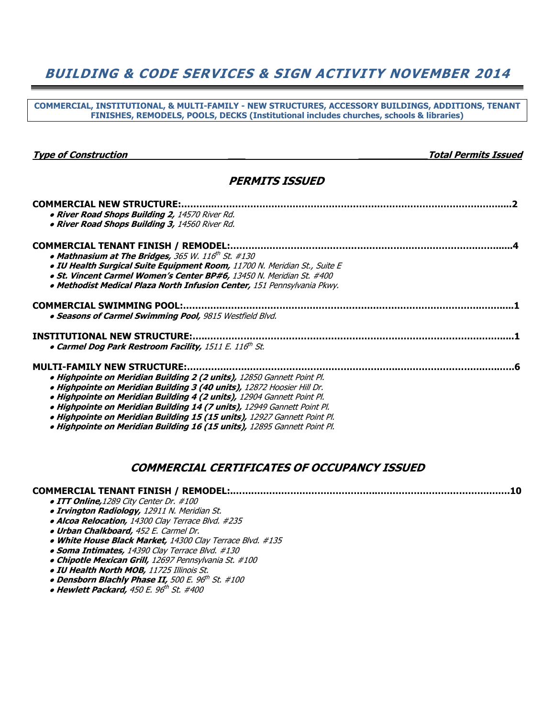## BUILDING & CODE SERVICES & SIGN ACTIVITY NOVEMBER 2014

COMMERCIAL, INSTITUTIONAL, & MULTI-FAMILY - NEW STRUCTURES, ACCESSORY BUILDINGS, ADDITIONS, TENANT FINISHES, REMODELS, POOLS, DECKS (Institutional includes churches, schools & libraries)

Type of Construction and the construction of the construction of the construction of the construction of the construction of the construction of the construction of the construction of the construction of the construction

#### PERMITS ISSUED

| . River Road Shops Building 2, 14570 River Rd.                            |  |
|---------------------------------------------------------------------------|--|
| . River Road Shops Building 3, 14560 River Rd.                            |  |
|                                                                           |  |
|                                                                           |  |
| • Mathnasium at The Bridges, 365 W. 116 <sup>th</sup> St. #130            |  |
| . IU Health Surgical Suite Equipment Room, 11700 N. Meridian St., Suite E |  |
| • St. Vincent Carmel Women's Center BP#6, 13450 N. Meridian St. #400      |  |
| · Methodist Medical Plaza North Infusion Center, 151 Pennsylvania Pkwy.   |  |
|                                                                           |  |
|                                                                           |  |
| • Seasons of Carmel Swimming Pool, 9815 Westfield Blvd.                   |  |
|                                                                           |  |
| • Carmel Dog Park Restroom Facility, 1511 E. 116th St.                    |  |
| <b>MULTI-FAMILY NEW STRUCTURE:.</b>                                       |  |
| . Highpointe on Meridian Building 2 (2 units), 12850 Gannett Point Pl.    |  |
| . Highpointe on Meridian Building 3 (40 units), 12872 Hoosier Hill Dr.    |  |
| · Highpointe on Meridian Building 4 (2 units), 12904 Gannett Point Pl.    |  |
|                                                                           |  |
| · Highpointe on Meridian Building 14 (7 units), 12949 Gannett Point Pl.   |  |
| · Highpointe on Meridian Building 15 (15 units), 12927 Gannett Point Pl.  |  |
| · Highpointe on Meridian Building 16 (15 units), 12895 Gannett Point Pl.  |  |

#### COMMERCIAL CERTIFICATES OF OCCUPANCY ISSUED

| • ITT Online, 1289 City Center Dr. #100                   |
|-----------------------------------------------------------|
| <b>. Irvington Radiology, 12911 N. Meridian St.</b>       |
| • Alcoa Relocation, 14300 Clay Terrace Blvd. #235         |
| . Urban Chalkboard, 452 E. Carmel Dr.                     |
| • White House Black Market, 14300 Clay Terrace Blvd. #135 |
| • Soma Intimates, 14390 Clay Terrace Blvd. #130           |
| • Chipotle Mexican Grill, 12697 Pennsylvania St. #100     |
| • IU Health North MOB, 11725 Illinois St.                 |
| • Densborn Blachly Phase II, 500 E. 96th St. #100         |
|                                                           |

 $\bullet$  Hewlett Packard, 450 E. 96 $^{th}$  St. #400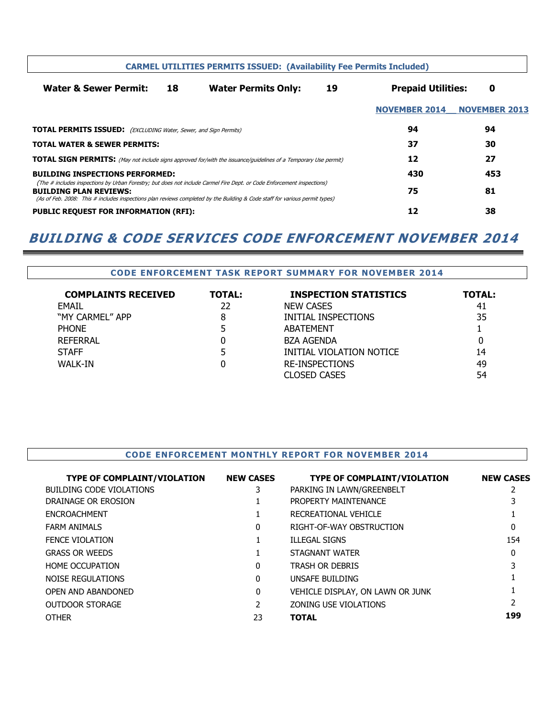| <b>CARMEL UTILITIES PERMITS ISSUED: (Availability Fee Permits Included)</b>                                                                                                                                                                                                            |    |                            |    |                           |                      |
|----------------------------------------------------------------------------------------------------------------------------------------------------------------------------------------------------------------------------------------------------------------------------------------|----|----------------------------|----|---------------------------|----------------------|
| <b>Water &amp; Sewer Permit:</b>                                                                                                                                                                                                                                                       | 18 | <b>Water Permits Only:</b> | 19 | <b>Prepaid Utilities:</b> | 0                    |
|                                                                                                                                                                                                                                                                                        |    |                            |    | <b>NOVEMBER 2014</b>      | <b>NOVEMBER 2013</b> |
| <b>TOTAL PERMITS ISSUED:</b> (EXCLUDING Water, Sewer, and Sign Permits)                                                                                                                                                                                                                |    |                            |    | 94                        | 94                   |
| <b>TOTAL WATER &amp; SEWER PERMITS:</b>                                                                                                                                                                                                                                                |    |                            | 37 | 30                        |                      |
| <b>TOTAL SIGN PERMITS:</b> (May not include signs approved for/with the issuance/guidelines of a Temporary Use permit)                                                                                                                                                                 |    |                            | 12 | 27                        |                      |
| <b>BUILDING INSPECTIONS PERFORMED:</b>                                                                                                                                                                                                                                                 |    |                            |    | 430                       | 453                  |
| (The # includes inspections by Urban Forestry; but does not include Carmel Fire Dept. or Code Enforcement inspections)<br><b>BUILDING PLAN REVIEWS:</b><br>(As of Feb. 2008: This # includes inspections plan reviews completed by the Building & Code staff for various permit types) |    |                            |    | 75                        | 81                   |
| <b>PUBLIC REQUEST FOR INFORMATION (RFI):</b>                                                                                                                                                                                                                                           |    |                            |    | 12                        | 38                   |

## BUILDING & CODE SERVICES CODE ENFORCEMENT NOVEMBER 2014

| <b>CODE ENFORCEMENT TASK REPORT SUMMARY FOR NOVEMBER 2014</b> |               |                              |        |
|---------------------------------------------------------------|---------------|------------------------------|--------|
| <b>COMPLAINTS RECEIVED</b>                                    | <b>TOTAL:</b> | <b>INSPECTION STATISTICS</b> | TOTAL: |
| <b>FMAIL</b>                                                  | 22            | <b>NEW CASES</b>             | 41     |
| "MY CARMEL" APP                                               | 8             | INITIAL INSPECTIONS          | 35     |
| <b>PHONE</b>                                                  |               | <b>ABATEMENT</b>             |        |
| REFERRAL                                                      |               | <b>BZA AGENDA</b>            | 0      |
| <b>STAFF</b>                                                  |               | INITIAL VIOLATION NOTICE     | 14     |
| WALK-IN                                                       |               | <b>RE-INSPECTIONS</b>        | 49     |
|                                                               |               | <b>CLOSED CASES</b>          | 54     |

#### CODE ENFORCEMENT MONTHLY REPORT FOR NOVEMBER 2014

| <b>TYPE OF COMPLAINT/VIOLATION</b> | <b>NEW CASES</b> | <b>TYPE OF COMPLAINT/VIOLATION</b> | <b>NEW CASES</b> |
|------------------------------------|------------------|------------------------------------|------------------|
| <b>BUILDING CODE VIOLATIONS</b>    | 3                | PARKING IN LAWN/GREENBELT          |                  |
| DRAINAGE OR EROSION                |                  | PROPERTY MAINTENANCE               |                  |
| <b>ENCROACHMENT</b>                |                  | RECREATIONAL VEHICLE               |                  |
| <b>FARM ANIMALS</b>                | $\Omega$         | RIGHT-OF-WAY OBSTRUCTION           | 0                |
| <b>FENCE VIOLATION</b>             |                  | <b>ILLEGAL SIGNS</b>               | 154              |
| <b>GRASS OR WEEDS</b>              |                  | STAGNANT WATER                     | 0                |
| HOME OCCUPATION                    | $\Omega$         | <b>TRASH OR DEBRIS</b>             |                  |
| NOISE REGULATIONS                  | $\Omega$         | UNSAFE BUILDING                    |                  |
| OPEN AND ABANDONED                 | 0                | VEHICLE DISPLAY, ON LAWN OR JUNK   |                  |
| OUTDOOR STORAGE                    |                  | ZONING USE VIOLATIONS              |                  |
| <b>OTHER</b>                       | 23               | <b>TOTAL</b>                       | 199              |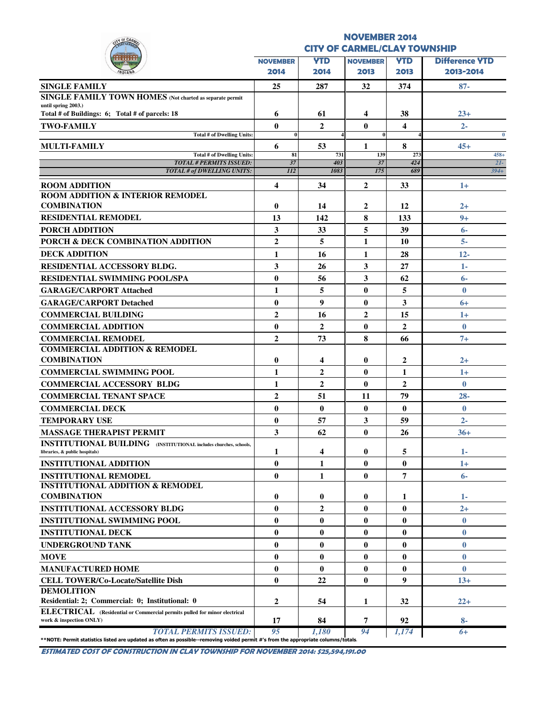| V OF CAR                                                                                                                                                           |                                     |                | <b>NOVEMBER 2014</b> |                |                       |
|--------------------------------------------------------------------------------------------------------------------------------------------------------------------|-------------------------------------|----------------|----------------------|----------------|-----------------------|
|                                                                                                                                                                    | <b>CITY OF CARMEL/CLAY TOWNSHIP</b> |                |                      |                |                       |
|                                                                                                                                                                    | <b>NOVEMBER</b>                     | <b>YTD</b>     | <b>NOVEMBER</b>      | <b>YTD</b>     | <b>Difference YTD</b> |
|                                                                                                                                                                    | 2014                                | 2014           | 2013                 | 2013           | 2013-2014             |
| <b>SINGLE FAMILY</b>                                                                                                                                               | 25                                  | 287            | 32                   | 374            | $87 -$                |
| SINGLE FAMILY TOWN HOMES (Not charted as separate permit                                                                                                           |                                     |                |                      |                |                       |
| until spring 2003.)<br>Total # of Buildings: 6; Total # of parcels: 18                                                                                             | 6                                   | 61             | 4                    | 38             | $23+$                 |
| <b>TWO-FAMILY</b>                                                                                                                                                  | $\mathbf{0}$                        | $\mathbf{2}$   | $\mathbf{0}$         | 4              | $2 -$                 |
| <b>Total # of Dwelling Units:</b>                                                                                                                                  | $\bf{0}$                            |                | $\bf{0}$             |                | $\mathbf{0}$          |
| <b>MULTI-FAMILY</b>                                                                                                                                                | 6                                   | 53             | 1                    | 8              | $45+$                 |
| Total # of Dwelling Units:<br><b>TOTAL # PERMITS ISSUED:</b>                                                                                                       | 81<br>37                            | 731<br>403     | 139<br>37            | 273<br>424     | $458+$<br>$2I-$       |
| <b>TOTAL # of DWELLING UNITS:</b>                                                                                                                                  | 112                                 | 1083           | 175                  | 689            | $394 +$               |
| <b>ROOM ADDITION</b>                                                                                                                                               | $\overline{\mathbf{4}}$             | 34             | $\overline{2}$       | 33             | $1+$                  |
| <b>ROOM ADDITION &amp; INTERIOR REMODEL</b>                                                                                                                        |                                     |                |                      |                |                       |
| <b>COMBINATION</b>                                                                                                                                                 | $\mathbf{0}$                        | 14             | $\overline{2}$       | 12             | $2+$                  |
| <b>RESIDENTIAL REMODEL</b>                                                                                                                                         | 13                                  | 142            | 8                    | 133            | $9+$                  |
| PORCH ADDITION                                                                                                                                                     | 3                                   | 33             | 5                    | 39             | $6-$                  |
| PORCH & DECK COMBINATION ADDITION                                                                                                                                  | $\overline{2}$                      | 5              | $\mathbf{1}$         | 10             | $5-$                  |
| <b>DECK ADDITION</b>                                                                                                                                               | 1                                   | 16             | 1                    | 28             | $12 -$                |
| <b>RESIDENTIAL ACCESSORY BLDG.</b>                                                                                                                                 | 3                                   | 26             | 3                    | 27             | 1-                    |
| <b>RESIDENTIAL SWIMMING POOL/SPA</b>                                                                                                                               | $\bf{0}$                            | 56             | $\mathbf{3}$         | 62             | $6-$                  |
| <b>GARAGE/CARPORT Attached</b>                                                                                                                                     | $\mathbf{1}$                        | 5              | $\bf{0}$             | 5              | $\bf{0}$              |
| <b>GARAGE/CARPORT Detached</b>                                                                                                                                     | $\bf{0}$                            | 9              | $\bf{0}$             | 3              | 6+                    |
| <b>COMMERCIAL BUILDING</b>                                                                                                                                         | $\boldsymbol{2}$                    | 16             | $\boldsymbol{2}$     | 15             | $1+$                  |
| <b>COMMERCIAL ADDITION</b>                                                                                                                                         | $\bf{0}$                            | $\overline{2}$ | $\bf{0}$             | $\overline{2}$ | $\bf{0}$              |
| <b>COMMERCIAL REMODEL</b>                                                                                                                                          | $\mathbf{2}$                        | 73             | 8                    | 66             | $7+$                  |
| <b>COMMERCIAL ADDITION &amp; REMODEL</b>                                                                                                                           |                                     |                |                      |                |                       |
| <b>COMBINATION</b>                                                                                                                                                 | $\bf{0}$                            | 4              | $\bf{0}$             | 2              | $^{2+}$               |
| <b>COMMERCIAL SWIMMING POOL</b>                                                                                                                                    | $\mathbf{1}$                        | $\mathbf{2}$   | $\mathbf{0}$         | 1              | $1+$                  |
| <b>COMMERCIAL ACCESSORY BLDG</b>                                                                                                                                   | 1                                   | $\overline{2}$ | $\mathbf{0}$         | $\overline{2}$ | $\bf{0}$              |
| <b>COMMERCIAL TENANT SPACE</b>                                                                                                                                     | $\overline{2}$                      | 51             | 11                   | 79             | $28 -$                |
| <b>COMMERCIAL DECK</b>                                                                                                                                             | $\bf{0}$                            | $\bf{0}$       | $\bf{0}$             | $\bf{0}$       | $\bf{0}$              |
| <b>TEMPORARY USE</b>                                                                                                                                               | $\mathbf{0}$                        | 57             | 3                    | 59             | $2 -$                 |
| MASSAGE THERAPIST PERMIT                                                                                                                                           | 3                                   | 62             | $\mathbf{0}$         | 26             | $36+$                 |
| <b>INSTITUTIONAL BUILDING</b> (INSTITUTIONAL includes churches, schools,                                                                                           |                                     |                |                      |                |                       |
| libraries, & public hospitals)                                                                                                                                     | 1                                   | 4              | $\bf{0}$             | 5              | $1-$                  |
| <b>INSTITUTIONAL ADDITION</b>                                                                                                                                      | $\mathbf{0}$                        | 1              | $\bf{0}$             | $\bf{0}$       | $1+$                  |
| <b>INSTITUTIONAL REMODEL</b><br><b>INSTITUTIONAL ADDITION &amp; REMODEL</b>                                                                                        | $\mathbf{0}$                        | $\mathbf{1}$   | $\bf{0}$             | 7              | $6-$                  |
| <b>COMBINATION</b>                                                                                                                                                 | $\mathbf{0}$                        | 0              | $\bf{0}$             | 1              | $1 -$                 |
| <b>INSTITUTIONAL ACCESSORY BLDG</b>                                                                                                                                | $\mathbf{0}$                        | $\overline{2}$ | $\bf{0}$             | $\bf{0}$       | $2+$                  |
| <b>INSTITUTIONAL SWIMMING POOL</b>                                                                                                                                 | $\bf{0}$                            | $\mathbf{0}$   | $\bf{0}$             | $\bf{0}$       | $\bf{0}$              |
| <b>INSTITUTIONAL DECK</b>                                                                                                                                          | $\bf{0}$                            | $\bf{0}$       | $\bf{0}$             | $\bf{0}$       | $\bf{0}$              |
| <b>UNDERGROUND TANK</b>                                                                                                                                            | $\bf{0}$                            | $\mathbf{0}$   | $\bf{0}$             | $\bf{0}$       | $\bf{0}$              |
| <b>MOVE</b>                                                                                                                                                        | $\mathbf{0}$                        | $\mathbf{0}$   | $\bf{0}$             | $\bf{0}$       | $\bf{0}$              |
| <b>MANUFACTURED HOME</b>                                                                                                                                           | $\bf{0}$                            | $\bf{0}$       | $\bf{0}$             | $\bf{0}$       | $\bf{0}$              |
| <b>CELL TOWER/Co-Locate/Satellite Dish</b>                                                                                                                         | $\bf{0}$                            | 22             | $\bf{0}$             | 9              | $13+$                 |
| <b>DEMOLITION</b>                                                                                                                                                  |                                     |                |                      |                |                       |
| Residential: 2; Commercial: 0; Institutional: 0                                                                                                                    | $\mathbf{2}$                        | 54             | 1                    | 32             | $22+$                 |
| ELECTRICAL (Residential or Commercial permits pulled for minor electrical                                                                                          |                                     |                |                      |                |                       |
| work & inspection ONLY)                                                                                                                                            | 17                                  | 84             | 7                    | 92             | $8-$                  |
| <b>TOTAL PERMITS ISSUED:</b><br>**NOTE: Permit statistics listed are updated as often as possible--removing voided permit #'s from the appropriate columns/totals. | 95                                  | 1.180          | 94                   | 1,174          | $6+$                  |

ESTIMATED COST OF CONSTRUCTION IN CLAY TOWNSHIP FOR NOVEMBER 2014: \$25,594,191.00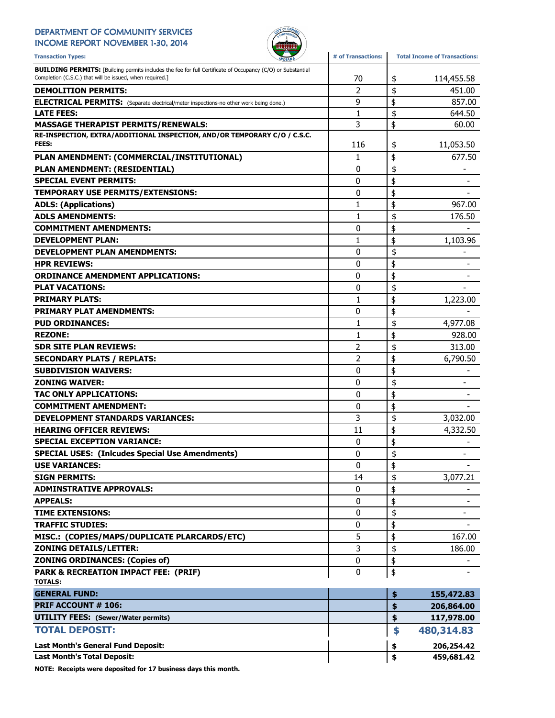### DEPARTMENT OF COMMUNITY SERVICES

INCOME REPORT NOVEMBER 1-30, 2014



| <b>Transaction Types:</b><br><b>INDIANA</b>                                                                                                                                    | # of Transactions: | <b>Total Income of Transactions:</b> |
|--------------------------------------------------------------------------------------------------------------------------------------------------------------------------------|--------------------|--------------------------------------|
| <b>BUILDING PERMITS:</b> [Building permits includes the fee for full Certificate of Occupancy (C/O) or Substantial<br>Completion (C.S.C.) that will be issued, when required.] | 70                 | \$<br>114,455.58                     |
| <b>DEMOLITION PERMITS:</b>                                                                                                                                                     | $\overline{2}$     | \$<br>451.00                         |
| <b>ELECTRICAL PERMITS:</b> (Separate electrical/meter inspections-no other work being done.)                                                                                   | 9                  | \$<br>857.00                         |
| <b>LATE FEES:</b>                                                                                                                                                              | $\mathbf{1}$       | \$<br>644.50                         |
| <b>MASSAGE THERAPIST PERMITS/RENEWALS:</b>                                                                                                                                     | 3                  | \$<br>60.00                          |
| RE-INSPECTION, EXTRA/ADDITIONAL INSPECTION, AND/OR TEMPORARY C/O / C.S.C.                                                                                                      |                    |                                      |
| <b>FEES:</b>                                                                                                                                                                   | 116                | \$<br>11,053.50                      |
| PLAN AMENDMENT: (COMMERCIAL/INSTITUTIONAL)                                                                                                                                     | 1                  | \$<br>677.50                         |
| PLAN AMENDMENT: (RESIDENTIAL)                                                                                                                                                  | 0                  | \$                                   |
| <b>SPECIAL EVENT PERMITS:</b>                                                                                                                                                  | 0                  | \$                                   |
| TEMPORARY USE PERMITS/EXTENSIONS:                                                                                                                                              | 0                  | \$                                   |
| <b>ADLS: (Applications)</b>                                                                                                                                                    | 1                  | \$<br>967.00                         |
| <b>ADLS AMENDMENTS:</b>                                                                                                                                                        | 1                  | \$<br>176.50                         |
| <b>COMMITMENT AMENDMENTS:</b>                                                                                                                                                  | 0                  | \$                                   |
| <b>DEVELOPMENT PLAN:</b>                                                                                                                                                       | 1                  | \$<br>1,103.96                       |
| <b>DEVELOPMENT PLAN AMENDMENTS:</b>                                                                                                                                            | 0                  | \$                                   |
| <b>HPR REVIEWS:</b>                                                                                                                                                            | 0                  | \$                                   |
| <b>ORDINANCE AMENDMENT APPLICATIONS:</b>                                                                                                                                       | 0                  | \$                                   |
| <b>PLAT VACATIONS:</b>                                                                                                                                                         | 0                  | \$                                   |
| <b>PRIMARY PLATS:</b>                                                                                                                                                          | 1                  | \$<br>1,223.00                       |
| <b>PRIMARY PLAT AMENDMENTS:</b>                                                                                                                                                | 0                  | \$                                   |
| <b>PUD ORDINANCES:</b>                                                                                                                                                         | 1                  | \$<br>4,977.08                       |
| <b>REZONE:</b>                                                                                                                                                                 | $\mathbf{1}$       | \$<br>928.00                         |
| <b>SDR SITE PLAN REVIEWS:</b>                                                                                                                                                  | 2                  | \$<br>313.00                         |
| <b>SECONDARY PLATS / REPLATS:</b>                                                                                                                                              | 2                  | \$<br>6,790.50                       |
| <b>SUBDIVISION WAIVERS:</b>                                                                                                                                                    | 0                  | \$                                   |
| <b>ZONING WAIVER:</b>                                                                                                                                                          | 0                  | \$<br>$\overline{\phantom{a}}$       |
| <b>TAC ONLY APPLICATIONS:</b>                                                                                                                                                  | 0                  | \$                                   |
| <b>COMMITMENT AMENDMENT:</b>                                                                                                                                                   | 0                  | \$                                   |
| <b>DEVELOPMENT STANDARDS VARIANCES:</b>                                                                                                                                        | 3                  | \$<br>3,032.00                       |
| <b>HEARING OFFICER REVIEWS:</b>                                                                                                                                                | 11                 | \$<br>4,332.50                       |
| <b>SPECIAL EXCEPTION VARIANCE:</b>                                                                                                                                             | 0                  | \$                                   |
| <b>SPECIAL USES: (Inlcudes Special Use Amendments)</b>                                                                                                                         | 0                  | \$                                   |
| <b>USE VARIANCES:</b>                                                                                                                                                          | 0                  | \$                                   |
| <b>SIGN PERMITS:</b>                                                                                                                                                           | 14                 | \$<br>3,077.21                       |
| <b>ADMINSTRATIVE APPROVALS:</b>                                                                                                                                                | 0                  | \$                                   |
| <b>APPEALS:</b>                                                                                                                                                                | 0                  | \$                                   |
| <b>TIME EXTENSIONS:</b>                                                                                                                                                        | 0                  | \$<br>-                              |
| <b>TRAFFIC STUDIES:</b>                                                                                                                                                        | 0                  | \$                                   |
| MISC.: (COPIES/MAPS/DUPLICATE PLARCARDS/ETC)                                                                                                                                   | 5                  | \$<br>167.00                         |
| <b>ZONING DETAILS/LETTER:</b>                                                                                                                                                  | 3                  | \$<br>186.00                         |
| <b>ZONING ORDINANCES: (Copies of)</b>                                                                                                                                          | 0                  | \$                                   |
| <b>PARK &amp; RECREATION IMPACT FEE: (PRIF)</b>                                                                                                                                | 0                  | \$                                   |
| <b>TOTALS:</b>                                                                                                                                                                 |                    |                                      |
| <b>GENERAL FUND:</b>                                                                                                                                                           |                    | \$<br>155,472.83                     |
| PRIF ACCOUNT # 106:                                                                                                                                                            |                    | \$<br>206,864.00                     |
| <b>UTILITY FEES:</b> (Sewer/Water permits)                                                                                                                                     |                    | \$<br>117,978.00                     |
| <b>TOTAL DEPOSIT:</b>                                                                                                                                                          |                    | \$<br>480,314.83                     |
| Last Month's General Fund Deposit:                                                                                                                                             |                    | \$<br>206,254.42                     |
| <b>Last Month's Total Deposit:</b>                                                                                                                                             |                    | \$<br>459,681.42                     |

NOTE: Receipts were deposited for 17 business days this month.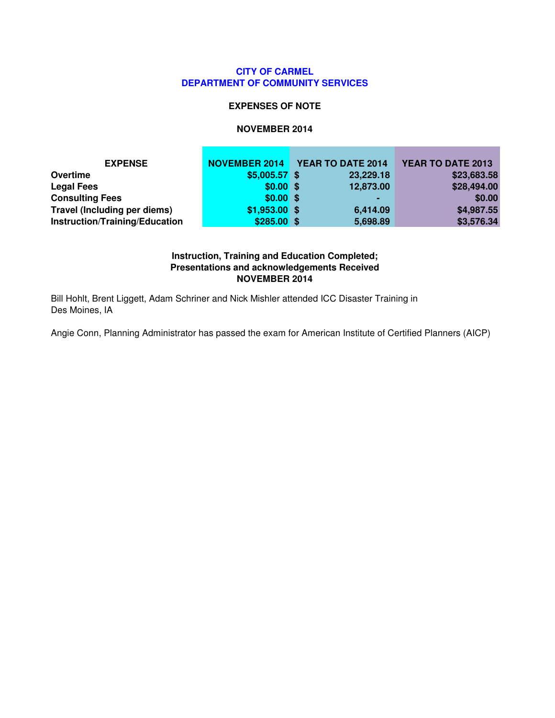#### **CITY OF CARMEL DEPARTMENT OF COMMUNITY SERVICES**

#### **EXPENSES OF NOTE**

#### **NOVEMBER 2014**

| <b>EXPENSE</b>                 | <b>NOVEMBER 2014</b> | YEAR TO DATE 2014 | YEAR TO DATE 2013 |
|--------------------------------|----------------------|-------------------|-------------------|
| Overtime                       | $$5,005.57$ \$       | 23,229.18         | \$23,683.58       |
| <b>Legal Fees</b>              | $$0.00$ \$           | 12,873.00         | \$28,494.00       |
| <b>Consulting Fees</b>         | $$0.00$ \$           | $\blacksquare$    | \$0.00            |
| Travel (Including per diems)   | $$1,953.00$ \$       | 6,414.09          | \$4,987.55        |
| Instruction/Training/Education | $$285.00$ \$         | 5,698.89          | \$3,576.34        |

#### **Instruction, Training and Education Completed; Presentations and acknowledgements Received NOVEMBER 2014**

Bill Hohlt, Brent Liggett, Adam Schriner and Nick Mishler attended ICC Disaster Training in Des Moines, IA

Angie Conn, Planning Administrator has passed the exam for American Institute of Certified Planners (AICP)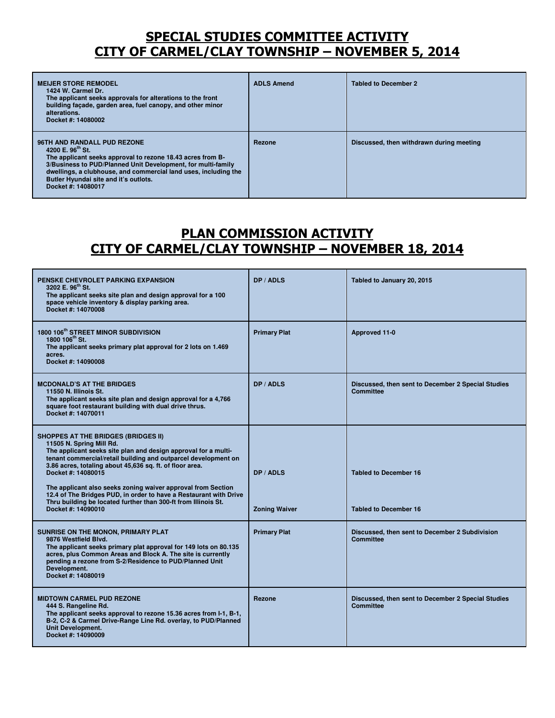## SPECIAL STUDIES COMMITTEE ACTIVITY CITY OF CARMEL/CLAY TOWNSHIP – NOVEMBER 5, 2014

| <b>MEIJER STORE REMODEL</b><br>1424 W. Carmel Dr.<br>The applicant seeks approvals for alterations to the front<br>building facade, garden area, fuel canopy, and other minor<br>alterations.<br>Docket #: 14080002                                                                                                         | <b>ADLS Amend</b> | <b>Tabled to December 2</b>              |
|-----------------------------------------------------------------------------------------------------------------------------------------------------------------------------------------------------------------------------------------------------------------------------------------------------------------------------|-------------------|------------------------------------------|
| 96TH AND RANDALL PUD REZONE<br>4200 E. 96 <sup>th</sup> St.<br>The applicant seeks approval to rezone 18.43 acres from B-<br>3/Business to PUD/Planned Unit Development, for multi-family<br>dwellings, a clubhouse, and commercial land uses, including the<br>Butler Hyundai site and it's outlots.<br>Docket #: 14080017 | Rezone            | Discussed, then withdrawn during meeting |

## PLAN COMMISSION ACTIVITY CITY OF CARMEL/CLAY TOWNSHIP – NOVEMBER 18, 2014

| <b>PENSKE CHEVROLET PARKING EXPANSION</b><br>3202 E. 96 <sup>th</sup> St.<br>The applicant seeks site plan and design approval for a 100<br>space vehicle inventory & display parking area.<br>Docket #: 14070008                                                                                                                                                                                                                                                                                                         | DP / ADLS                         | Tabled to January 20, 2015                                             |
|---------------------------------------------------------------------------------------------------------------------------------------------------------------------------------------------------------------------------------------------------------------------------------------------------------------------------------------------------------------------------------------------------------------------------------------------------------------------------------------------------------------------------|-----------------------------------|------------------------------------------------------------------------|
| 1800 106 <sup>th</sup> STREET MINOR SUBDIVISION<br>1800 106 <sup>th</sup> St.<br>The applicant seeks primary plat approval for 2 lots on 1.469<br>acres.<br>Docket #: 14090008                                                                                                                                                                                                                                                                                                                                            | <b>Primary Plat</b>               | Approved 11-0                                                          |
| <b>MCDONALD'S AT THE BRIDGES</b><br>11550 N. Illinois St.<br>The applicant seeks site plan and design approval for a 4,766<br>square foot restaurant building with dual drive thrus.<br>Docket #: 14070011                                                                                                                                                                                                                                                                                                                | DP / ADLS                         | Discussed, then sent to December 2 Special Studies<br><b>Committee</b> |
| <b>SHOPPES AT THE BRIDGES (BRIDGES II)</b><br>11505 N. Spring Mill Rd.<br>The applicant seeks site plan and design approval for a multi-<br>tenant commercial/retail building and outparcel development on<br>3.86 acres, totaling about 45,636 sq. ft. of floor area.<br>Docket #: 14080015<br>The applicant also seeks zoning waiver approval from Section<br>12.4 of The Bridges PUD, in order to have a Restaurant with Drive<br>Thru building be located further than 300-ft from Illinois St.<br>Docket #: 14090010 | DP / ADLS<br><b>Zoning Waiver</b> | <b>Tabled to December 16</b><br><b>Tabled to December 16</b>           |
| SUNRISE ON THE MONON, PRIMARY PLAT<br>9876 Westfield Blvd.<br>The applicant seeks primary plat approval for 149 lots on 80.135<br>acres, plus Common Areas and Block A. The site is currently<br>pending a rezone from S-2/Residence to PUD/Planned Unit<br>Development.<br>Docket #: 14080019                                                                                                                                                                                                                            | <b>Primary Plat</b>               | Discussed, then sent to December 2 Subdivision<br><b>Committee</b>     |
| <b>MIDTOWN CARMEL PUD REZONE</b><br>444 S. Rangeline Rd.<br>The applicant seeks approval to rezone 15.36 acres from I-1, B-1,<br>B-2, C-2 & Carmel Drive-Range Line Rd. overlay, to PUD/Planned<br><b>Unit Development.</b><br>Docket #: 14090009                                                                                                                                                                                                                                                                         | Rezone                            | Discussed, then sent to December 2 Special Studies<br><b>Committee</b> |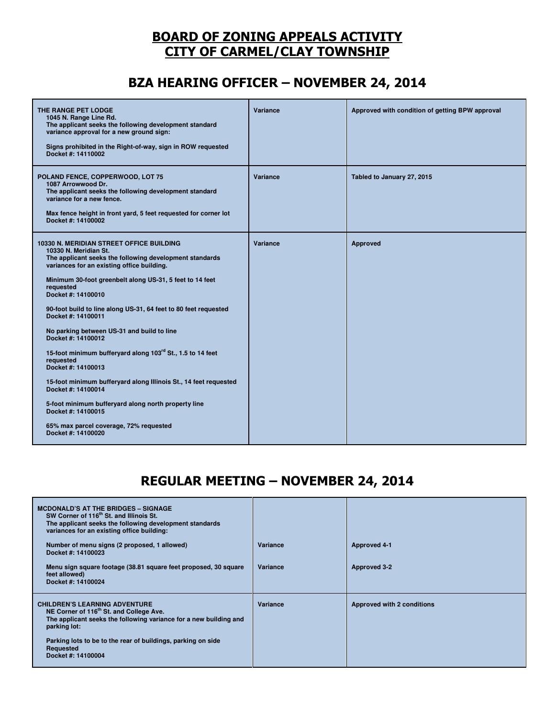## BOARD OF ZONING APPEALS ACTIVITY CITY OF CARMEL/CLAY TOWNSHIP

# BZA HEARING OFFICER – NOVEMBER 24, 2014

| THE RANGE PET LODGE<br>1045 N. Range Line Rd.<br>The applicant seeks the following development standard<br>variance approval for a new ground sign:<br>Signs prohibited in the Right-of-way, sign in ROW requested<br>Docket #: 14110002                                                                                                                                                                                                                                                                                                                                                                                                                                                                                                                                       | Variance | Approved with condition of getting BPW approval |
|--------------------------------------------------------------------------------------------------------------------------------------------------------------------------------------------------------------------------------------------------------------------------------------------------------------------------------------------------------------------------------------------------------------------------------------------------------------------------------------------------------------------------------------------------------------------------------------------------------------------------------------------------------------------------------------------------------------------------------------------------------------------------------|----------|-------------------------------------------------|
| POLAND FENCE, COPPERWOOD, LOT 75<br>1087 Arrowwood Dr.<br>The applicant seeks the following development standard<br>variance for a new fence.<br>Max fence height in front yard, 5 feet requested for corner lot<br>Docket #: 14100002                                                                                                                                                                                                                                                                                                                                                                                                                                                                                                                                         | Variance | Tabled to January 27, 2015                      |
| 10330 N. MERIDIAN STREET OFFICE BUILDING<br>10330 N. Meridian St.<br>The applicant seeks the following development standards<br>variances for an existing office building.<br>Minimum 30-foot greenbelt along US-31, 5 feet to 14 feet<br>requested<br>Docket #: 14100010<br>90-foot build to line along US-31, 64 feet to 80 feet requested<br>Docket #: 14100011<br>No parking between US-31 and build to line<br>Docket #: 14100012<br>15-foot minimum bufferyard along 103rd St., 1.5 to 14 feet<br>requested<br>Docket #: 14100013<br>15-foot minimum bufferyard along Illinois St., 14 feet requested<br>Docket #: 14100014<br>5-foot minimum bufferyard along north property line<br>Docket #: 14100015<br>65% max parcel coverage, 72% requested<br>Docket #: 14100020 | Variance | Approved                                        |

## REGULAR MEETING – NOVEMBER 24, 2014

| <b>MCDONALD'S AT THE BRIDGES - SIGNAGE</b><br>SW Corner of 116 <sup>th</sup> St. and Illinois St.<br>The applicant seeks the following development standards<br>variances for an existing office building:                                                                          |          |                                   |
|-------------------------------------------------------------------------------------------------------------------------------------------------------------------------------------------------------------------------------------------------------------------------------------|----------|-----------------------------------|
| Number of menu signs (2 proposed, 1 allowed)<br>Docket #: 14100023                                                                                                                                                                                                                  | Variance | <b>Approved 4-1</b>               |
| Menu sign square footage (38.81 square feet proposed, 30 square<br>feet allowed)<br>Docket #: 14100024                                                                                                                                                                              | Variance | Approved 3-2                      |
| <b>CHILDREN'S LEARNING ADVENTURE</b><br>NE Corner of 116 <sup>th</sup> St. and College Ave.<br>The applicant seeks the following variance for a new building and<br>parking lot:<br>Parking lots to be to the rear of buildings, parking on side<br>Requested<br>Docket #: 14100004 | Variance | <b>Approved with 2 conditions</b> |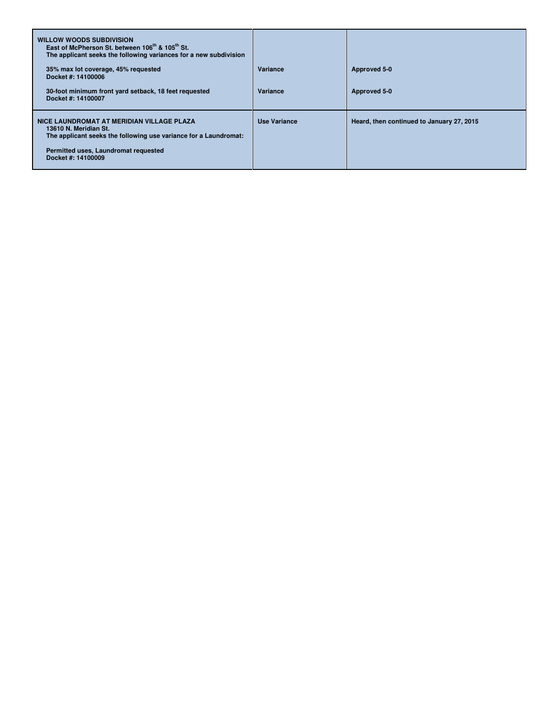| <b>WILLOW WOODS SUBDIVISION</b><br>East of McPherson St. between 106 <sup>th</sup> & 105 <sup>th</sup> St.<br>The applicant seeks the following variances for a new subdivision<br>35% max lot coverage, 45% requested<br>Docket #: 14100006<br>30-foot minimum front yard setback, 18 feet requested<br>Docket #: 14100007 | Variance<br>Variance | Approved 5-0<br>Approved 5-0              |
|-----------------------------------------------------------------------------------------------------------------------------------------------------------------------------------------------------------------------------------------------------------------------------------------------------------------------------|----------------------|-------------------------------------------|
| NICE LAUNDROMAT AT MERIDIAN VILLAGE PLAZA<br>13610 N. Meridian St.<br>The applicant seeks the following use variance for a Laundromat:<br>Permitted uses, Laundromat requested<br>Docket #: 14100009                                                                                                                        | Use Variance         | Heard, then continued to January 27, 2015 |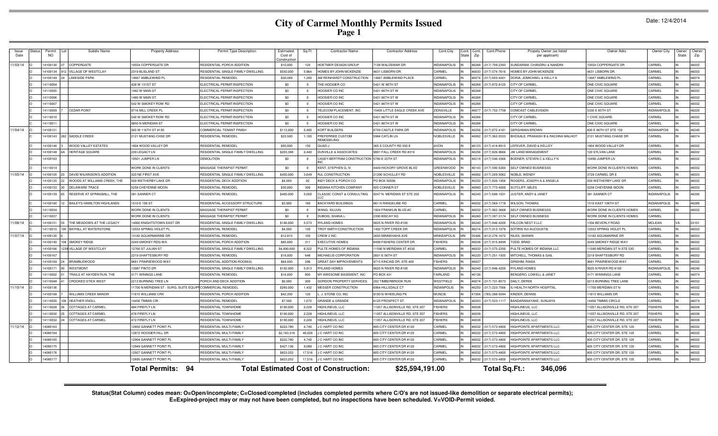# **City of Carmel Monthly Permits Issued Page 1**

| <b>Issue</b><br>Date | Statu: | Permit<br>NO. | Subdiv Name                        | <b>Property Address</b>                | Permit Type Description            | Estimated<br>Cost of<br>Constructio | Sq Ft          | <b>Contractor Name</b>                       | <b>Contractor Address</b>           | Cont.City           | Cont.<br>Cont.<br>State<br>Zip | Cont.Phone     | Propety Owner (as listed<br>per applicant) | Owner Adrs                    | Owner City          | Owner<br>State | Owner<br>Zip |
|----------------------|--------|---------------|------------------------------------|----------------------------------------|------------------------------------|-------------------------------------|----------------|----------------------------------------------|-------------------------------------|---------------------|--------------------------------|----------------|--------------------------------------------|-------------------------------|---------------------|----------------|--------------|
| 11/03/14             |        | 14100130      | COPPERGATE                         | 10554 COPPERGATE DR                    | RESIDENTIAL PORCH ADDITION         | \$10,000                            | 120            | HOETMER DESIGN GROUP                         | 7128 WALDEMAR DR                    | <b>INDIANAPOLIS</b> | 46268                          | 317) 709-2393  | <b>SUNDARAM, CHANDRU &amp; NANDIN</b>      | 10554 COPPERGATE DR           | CARMEL              |                | 46032        |
|                      |        | 14100134      | VILLAGE OF WESTCLAY                | 2319 BLISLAND ST                       | RESIDENTIAL SINGLE FAMILY DWELLING | \$550,000                           | 5.964          | <b>HOMES BY JOHN MCKENZIE</b>                | 4631 LISBORN DR                     | CARMEL              | 46033                          | 317) 574-7616  | <b>IOMES BY JOHN MCKENZIE</b>              | 4631 LISBORN DF               | CARMEL              |                | 46033        |
|                      |        | 14100149      | <b>LAKESIDE PARK</b>               | 13667 AMBLEWIND P                      | RESIDENTIAL REMODEL                | \$30,000                            | 1.200          | AM REINHARDT CONSTRUCTION                    | 13667 AMBLEWIND PLACE               | CARMEL              | 46074                          | (317) 603-4201 | DORIA, JOMICHAEL & KELLY A                 | 13667 AMBLEWIND P             | CARME               |                | 46074        |
|                      |        | 14110004      |                                    | 428 W 131ST ST                         | ELECTRICAL PERMIT/INSPECTION       | \$0                                 | $\Omega$       | THE HOOSIER CC                               | 5421 W 86TH ST                      | <b>INDIANAPOLIS</b> | 46268                          | 317) 872-8125  | <b>CITY OF CARMEL</b>                      | ONE CIVIC SQUARE              | CARMEL              |                | 46032        |
|                      |        | 14110005      |                                    | 1482 W MAIN ST                         | ELECTRICAL PERMIT/INSPECTION       | \$0                                 | $\sim$         | HOOSIER CO INC                               | 5421 86TH ST W                      | <b>INDIANAPOLIS</b> | 46268                          |                | <b>CITY OF CARMEL</b>                      | ONE CIVIC SQUARE              | CARMEL              |                | 46032        |
|                      |        | 14110006      |                                    | 480 W MAIN ST                          | ELECTRICAL PERMIT/INSPECTION       | \$0                                 | $\overline{0}$ | HOOSIER CO INC                               | 5421 86TH ST W                      | <b>INDIANAPOLIS</b> | 46268                          |                | <b>CITY OF CARMEL</b>                      | ONE CIVIC SQUARE              | CARMEL              |                | 46032        |
|                      |        | 14110007      |                                    | 542 W SMOKEY ROW RD                    | ELECTRICAL PERMIT/INSPECTION       | \$0                                 | $\Omega$       | HOOSIER CO INC                               | 5421 86TH ST W                      | <b>INDIANAPOLIS</b> | 46268                          |                | CITY OF CARMEL                             | ONE CIVIC SQUARE              | CARMEI              |                | 46032        |
|                      |        | 14110009      | <b>CEDAR POINT</b>                 | 9716 MILL CREEK PI                     | ELECTRICAL PERMIT/INSPECTION       | \$0                                 | $\sim$         | TELECOM PLACEMENT, INC                       | <b>15405 LITTLE EAGLE CREEK AVE</b> | <b>ZIONSVILLE</b>   | 46077                          | 317) 752-7758  | <b>COMCAST CABLEVISION</b>                 | 5330 E 65TH ST                | <b>INDIANAPOLIS</b> |                | 46220        |
|                      |        | 14110010      |                                    | 540 W SMOKEY ROW RD                    | ELECTRICAL PERMIT/INSPECTION       | \$0                                 | $\Omega$       | HOOSIER CO INC                               | 5421 86TH ST W                      | <b>INDIANAPOLIS</b> | 46268                          |                | CITY OF CARMEL                             | <b>CIVIC SQUARE</b>           | CARMEL              |                | 46032        |
|                      |        | 14110011      |                                    | 9850 N MERIDIAN ST                     | ELECTRICAL PERMIT/INSPECTION       | \$0                                 | $\overline{0}$ | HOOSIER CO INC                               | 5421 86TH ST W                      | <b>INDIANAPOLIS</b> | 46268                          |                | CITY OF CARMEL                             | ONE CIVIC SQUARE              | CARMEL              |                | 46032        |
| 11/04/14             |        | 14100121      |                                    | 365 W 116TH ST #130                    | COMMERCIAL TENANT FINISH           | \$112,000                           | 2.400          | KORT BUILDERS                                | 8709 CASTLE PARK DF                 | <b>INDIANAPOLIS</b> | 46256                          | 317) 872-4181  | <b>GERSHMAN BROWN</b>                      | 600 E 96TH ST STE 150         | <b>INDIANAPOIS</b>  |                | 46240        |
|                      |        | 14100143      | 282 SADDLE CREEK                   | 2121 MUSTANG CHSE DR                   | RESIDENTIAL REMODEL                | \$23,500                            | 1,100          | <b>PREFERRED CUSTOM</b><br><b>REMODELING</b> | 5984 CATLIN LN                      | NOBLESVILLE         | 46062                          | (317) 362-5533 | BHOSALE, PRAKASH B & RACHNA MALHOT         | 2121 MUSTANG CHASE DR         | CARMEL              |                | 46074        |
|                      |        | 14100146      | <b>WOOD VALLEY ESTATES</b>         | 1804 WOOD VALLEY DR                    | <b>RESIDENTIAL REMODEL</b>         | \$50,000                            | 150            | <b>L-QAUQ</b>                                | 365 S COUNTY RD 550 E               | <b>AVON</b>         | 46123                          | (317) 418-8915 | LEFEVER, DAVID & KELLEY                    | 1804 WOOD VALLEY DR           | CARMEL              |                | 46032        |
|                      |        | 14100148      | <b>HERITAGE SQUARE</b>             | 239 LEGACY LN                          | RESIDENTIAL SINGLE FAMILY DWELLING | \$203,388                           | 2,440          | <b>DUNVILLE &amp; ASSOCIATES</b>             | 9801 FALL CREEK RD #319             | <b>INDIANAPOLIS</b> | 46256                          | 317) 826-9666  | <b>W LAND MANAGEMENT</b>                   | 120 SYLVAN LANE               | CARMEI              |                | 46032        |
|                      |        | 14100163      |                                    | 0501 JUMPER LN                         | <b>DEMOLITION</b>                  | \$0                                 | $\Omega$       | CASEY-BERTRAM CONSTRUCTION 5780 E 25TH ST    |                                     | <b>INDIANAPOLIS</b> | 46218                          | (317) 546-3366 | BODNER, STEVEN C & KELLY N                 | 10490 JUMPER LN               | CARMEL              |                | 46032        |
|                      |        | 14110014      |                                    | WORK DONE IN CLIENTS                   | MASSAGE THERAPIST PERMIT           | \$0                                 | $\Omega$       | KENT, STEPHEN G. IV                          | 4449 HICKORY GROVE BLVD             | <b>GREENWOOD</b>    | 46143                          | (317) 590-5260 | SELF OWNED BUSINESSS                       | WORK DONE IN CLIENTS HOMES    | CARMEL              |                | 46032        |
| 11/05/14             |        | 14100105      | <b>DAVID WILKINSON'S ADDITION</b>  | 320 NE FIRST AVE                       | RESIDENTIAL SINGLE FAMILY DWELLING | \$450,000                           | 3.649          | <b>RJL CONSTRUCTION</b>                      | 21290 SCHULLEY RD                   | NOBLESVILLE         | 46062                          | (317) 209-5062 | <b>NOBLE, WENDY</b>                        | 3729 CARMEL DR E              | CARMEL              |                | 46033        |
|                      |        | 14100125      | WOODS AT WILLIAMS CREEK, THE       | 509 WETHERBY LAKE DF                   | RESIDENTIAL DECK ADDITION          | \$4,000                             | 92             | INDY DECK & PORCH CO                         | PO BOX 50506                        | <b>INDIANAPOLIS</b> | 46250                          | 317) 826-1956  | ROGERS, JOSEPH A & ANGELA                  | 509 WETHERBY LAKE DR          | CARMEL              |                | 46032        |
|                      |        | 14100153      | <b>DELAWARE TRACE</b>              | 5258 CHEYENNE MOON                     | RESIDENTIAL REMODEL                | \$30,000                            | 300            | <b>INDIANA KITCHEN COMPANY</b>               | 925 CONNER ST                       | NOBLESVILLE         | 46060                          | (317) 773-4000 | <b>JUTCLIFF, MILES</b>                     | 5258 CHEYENNE MOON            | CARMEL              |                | 46033        |
|                      |        | 14100159      | RESERVE AT SPRINGMILL, THE         | 381 SANNER CT                          | <b>RESIDENTIAL REMODEL</b>         | \$400,000                           | 5,000          | CLASSIC CONST & CONSULTING                   | 9247 N. MERIDIAN ST STE 250         | <b>INDIANAPOLIS</b> | 46240                          | (317) 698-1031 | JUSTER, ANDY & JANET                       | 381 SANNER CT                 | <b>INDIANAPOLIS</b> |                | 46290        |
|                      |        | 14100160      | <b>BAILEY'S HAMILTON HIGHLANDS</b> | 1510 E 106 ST                          | RESIDENTIAL ACCESSORY STRUCTURE    | \$3,900                             | 160            | <b>BACKYARD BUILDINGS</b>                    | 861 N RANGELINE RD                  | CARMEL              | 46032                          | 317) 569-1718  | <b>WILSON, THOMAS</b>                      | 1510 EAST 106TH ST            | <b>INDIANAPOLIS</b> |                | 46280        |
|                      |        | 14110034      |                                    | WORK DONE IN CLIENTS                   | MASSAGE THERAPIST PERMIT           | \$0                                 | $\overline{0}$ | WANG, XIUJUN                                 | 1924 FRANKLIN BLVD #C               | CARMEL              | 46032                          | 317) 902-3668  | SELF OWNED BUSINESS!                       | WORK DONE IN CLIENTS HOMES    | CARMEL              |                | 46032        |
|                      |        | 14110037      |                                    | WORK DONE IN CLIENTS                   | MASSAGE THERAPIST PERMIT           | \$0                                 | $\sim$         | <b>QUBOIS, SHANA</b>                         | 2390 BISCAY SQ                      | <b>INDIANAPOLIS</b> | 03964                          | 317) 397-3174  | SELF OWNED BUSINESS                        | WORK DONE IN CLIENTS HOMES    | CARMEI              |                |              |
| 11/06/14             |        | 14100151      | THE MEADOWS AT THE LEGACY          | 4060 KNIGHTSTOWN EAST DF               | RESIDENTIAL SINGLE FAMILY DWELLING | \$186,000                           | 5.573          | <b>RYLAND HOMES</b>                          | 9025 N RIVER RD #100                | <b>INDIANAPOLIS</b> | 46240                          | (317) 846-4200 | ALCON NEST II LLC                          | 1356 BEVERLY ROAD             | <b>MCLEAN</b>       | VA             | 22101        |
|                      |        | 14110015      | 195 BAYHILL AT WATERSTONE          | 2553 SPRING VIOLET PL                  | RESIDENTIAL REMODEL                | \$4,000                             | 130            | ROY SMITH CONSTRUCTION                       | 402 TOPP CREEK DR                   | <b>INDIANAPOLIS</b> | 46214                          | 317) 313-1078  | SOTIRIS HJI-AUCOUSTIS                      | 2553 SPRING VIOLET PL         | CARMEI              |                | 46033        |
| 11/07/14             |        | 14100120      |                                    | 13182 AQUARMARINE DF                   | <b>RESIDENTIAL REMODEL</b>         | \$12,815                            | 100            | CREW 2 INC.                                  | 2650 MINNEHAHA AVE                  | <b>MINNEAPOLIS</b>  | 55406<br><b>MN</b>             | (612) 276-1672 | NILES, SHAWN                               | 13182 AQUAMARINE DF           | CARMEL              |                | 46033        |
|                      |        | 14100140      | <b>SMOKEY RIDGE</b>                | 3249 SMOKEY RDG WA                     | RESIDENTIAL PORCH ADDITION         | \$85,000                            | 311            | <b>EXECUTIVE HOMES</b>                       | 8499 FISHERS CENTER DR              | <b>FISHERS</b>      | 86038                          | 317) 915-8499  | <b>TODD, BRAD</b>                          | 3249 SMOKEY RIDGE WAY         | CARMEL              |                | 46032        |
|                      |        | 14100166      | 39 VILLAGE OF WESTCLAY             | 12760 ST JULIAN ST                     | RESIDENTIAL SINGLE FAMILY DWELLING | \$4,890,000                         | 6,322          | PULTE HOMES OF INDIANA                       | 1590 N MERIDIAN ST #530             | CARMEL              | 46032                          | 317) 575-2350  | PULTE HOMES OF INDIANA LLC                 | 1590 MERIDIAN ST N STE 530    | CARMEL              |                | 46032        |
|                      |        | 14100167      |                                    | 2219 SHAFTESBURY RD                    | <b>RESIDENTIAL REMODEL</b>         | \$18,000                            | 648            | MICHAELIS CORPORATION                        | 2601 E 56TH ST                      | <b>INDIANAPOLIS</b> | 46220                          | (317) 251-1935 | MITCHELL, THOMAS & GAIL                    | 2219 SHAFTESBURY RD           | CARMEL              |                | 46032        |
|                      |        | 14100169      | 24 BRAMBLEWOOD                     | 9681 PRAIRIEWOOD WAY                   | RESIDENTIAL ADDITION-ROOM(S        | \$64,000                            | 296            | GREAT DAY IMPROVEMENTS                       | 9715 KINCAID DR, STE 400            | <b>FISHERS</b>      | 46037                          |                | <b>GRISHIM, RAISA</b>                      | 9681 PRAIRIEWOOD WAY          | CARMEL              |                | 46032        |
|                      |        | 14100171      | <b>WESTMONT</b>                    | 13987 PINTO DR                         | RESIDENTIAL SINGLE FAMILY DWELLING | \$192,000                           | 5.913          | RYLAND HOMES                                 | 9025 N RIVER RD #100                | <b>INDIANAPOLIS</b> | 46240                          | (317) 846-4200 | <b>RYLAND HOMES</b>                        | 9025 N RIVER RD #100          | <b>INDIANAPOLIS</b> |                | 46240        |
|                      |        | 14110002      | TRAILS AT HAYDEN RUN, THE          | 3171 WININGS LANE                      | <b>RESIDENTIAL REMODEL</b>         | \$16,000                            | 800            | MY AWESOME BASEMENT, INC                     | PO BOX 431                          | FAIRLAND            | 46126                          |                | BENGERO, LOWELL & JANET                    | 3171 WINNINGS LANE            | CARMEL              |                | 46074        |
|                      |        | 14110048      | <b>CROOKED STICK WEST</b>          | 2213 BURNING TREE IN                   | PORCH AND DECK ADDITION            | \$6,000                             | 200            | GORDON PROPERTY SERVICES                     | 202 TIMBERBROOK RUN                 | WESTFIELD           | 46074                          | (317) 731-8573 | DAILY, DEREK                               | 2213 BURNING TREE LANE        | CARMEL              |                | 46032        |
| 11/10/14             |        | 14100136      |                                    | 1700 N MERIDIAN ST - SURG, SUITE EQUIF | <b>COMMERCIAL REMODEL</b>          | \$260,000                           | 1,432          | <b>MESSER CONSTRUCTION</b>                   | 6964 HILLSDALE CT                   | <b>INDIANPOLIS</b>  | 46250                          | 317) 223-756   | HEALTH NORTH HOSPITAL                      | 1700 MERIDIAN ST N            | CARMEL              |                | 46032        |
|                      |        | 14100168      | <b>WILLIAMS CREEK MANOR</b>        | 1615 WILLIAMS CRK                      | RESIDENTIAL PORCH ADDITION         | \$42,350                            | 120            | J. STONE CO, INC                             | 9100 N WHEELING PK                  | <b>MUNCIE</b>       | 47304                          | 765) 288-5044  | KINDER, DENNIS                             | 11615 WILLIAMS DR             | <b>ARMEL</b>        |                | 46032        |
|                      |        | 14110020      | <b>HEATHER KNOLL</b>               | 4456 TIMMIS CIR                        | RESIDENTIAL REMODEL                | \$7,500                             | 1,072          | <b>GRANDE &amp; GRANDE</b>                   | <b>6125 PROSPECT ST</b>             | <b>INDIANAPOLIS</b> | 8203                           | 317) 523-1117  | BANDARANAYAKE, SUNJAYA                     | 4456 TIMMIS CIRCLE            | CARMEL              |                | 46074        |
|                      |        | 4110028       | <b>COTTAGES AT CARMEL</b>          | 484 FIREFLY LN                         | RESIDENTIAL TOWNHOME               | \$190,000                           | 2,228          | <b>IIGHLINEUS, LLC</b>                       | 1057 ALLISONVILLE RD, STE 207       | <b>FISHERS</b>      | 46038                          |                | <b>IIGHLINEUS, LLC</b>                     | 1057 ALLISONVILLE RD, STE 207 | <b>ISHERS</b>       |                | 46038        |
|                      |        | 14110030      | <b>COTTAGES AT CARMEL</b>          | 78 FIREFLY LN                          | <b>RESIDENTIAL TOWNHOME</b>        | \$190,000                           | 2.228          | <b>IGHLINEUS, LLC</b>                        | 1057 ALLISONVILLE RD, STE 207       | <b>FISHERS</b>      | 46038                          |                | <b>IIGHLINEUS, LLC</b>                     | 1057 ALLISONVILLE RD, STE 207 | <b>ISHERS</b>       |                | 46038        |
|                      |        | 411003        | <b>COTTAGES AT CARMEL</b>          | <b>72 FIREFLY LN</b>                   | RESIDENTIAL TOWNHOME               | \$190,000                           | 2.228          | IGHLINEUS, LLC                               | 1057 ALLISONVILLE RD, STE 207       | <b>ISHERS</b>       | 16038                          |                | <b>IIGHLINEUS, LLC</b>                     | 1057 ALLISONVILLE RD, STE 207 | <b>ISHERS</b>       |                | 46038        |
| 11/12/14             |        | 14080163      |                                    | 2850 GANNETT POINT PL                  | RESIDENTIAL MULTI-FAMILY           | \$222,780                           | 4,740          | C HART CO INC                                | 805 CITY CENTER DR #120             | CARMEL              | 16032                          | 317) 573-4800  | <b>IIGHPOINTE APARTMENTS LLC</b>           | 805 CITY CENTER DR, STE 120   | CARMEL              |                | 46032        |
|                      |        | 14080164      |                                    | 12872 HOOSIER HILL DR                  | <b>RESIDENTIAL MULTI-FAMILY</b>    | \$2,163,316                         | 46.028         | C HART CO INC                                | 805 CITY CENTER DR #120             | CARMEL              | \$6032                         | 317) 573-4800  | <b>IIGHPOINTE APARTMENTS LLC</b>           | 805 CITY CENTER DR, STE 120   | CARMEL              |                | 46032        |
|                      |        | 14080165      |                                    | 2904 GANNETT POINT PL                  | RESIDENTIAL MULTI-FAMILY           | \$222,780                           | 4.740          | C HART CO INC                                | 805 CITY CENTER DR #120             | CARMEL              | \$6032                         | 317) 573-4800  | <b>IIGHPOINTE APARTMENTS LLC</b>           | 805 CITY CENTER DR, STE 120   | CARME               |                | 46032        |
|                      |        | 1408017       |                                    | 12949 GANNETT POINT PI                 | RESIDENTIAL MULTI-FAMILY           | \$427,136                           | 9.088          | C HART CO INC                                | 805 CITY CENTER DR #120             | CARMEL              | 16032                          | 317) 573-480   | <b>IIGHPOINTE APARTMENTS LLC</b>           | 805 CITY CENTER DR, STE 120   | CARME!              |                | 46032        |
|                      |        | 1408017       |                                    | 12927 GANNETT POINT PL                 | RESIDENTIAL MULTI-FAMILY           | \$823,252                           | 17,516         | C HART CO INC                                | 805 CITY CENTER DR #120             | CARMEL              | 46032                          | 317) 573-4800  | HIGHPOINTE APARTMENTS LLC                  | 805 CITY CENTER DR, STE 120   | CARMEL              |                | 46032        |
|                      |        | 1408017       |                                    | 12895 GANNETT POINT PL                 | <b>RESIDENTIAL MULTI-FAMILY</b>    | \$823,252                           | 17,516         | <b>CHART COINC</b>                           | 805 CITY CENTER DR #120             | CARMEL              | 36032                          | (317) 573-4800 | <b>HIGHPOINTE APARTMENTS LLC</b>           | 805 CITY CENTER DR. STE 120   | CARMEL              |                | 46032        |
|                      |        |               |                                    | -94<br><b>Total Permits:</b>           |                                    |                                     |                | <b>Total Estimated Cost of Construction:</b> | \$25,594,191.00                     |                     |                                | Total Sq.Ft.:  | 346,096                                    |                               |                     |                |              |

Status(Stat Column) codes mean: O=Open/incomplete; C=Closed/completed (includes completed permits where C/O's are not issued-like demolition or separate electrical permits);<br>E=Expired-project may or may not have been compl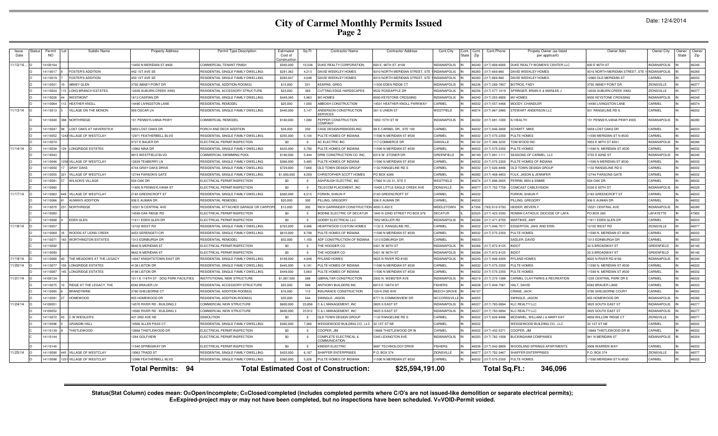# **City of Carmel Monthly Permits Issued Page 2**

| Issue<br>Date | status | Permi<br><b>NO</b> | Subdiv Name                    | <b>Property Address</b>               | Permit Type Description               | Estimated<br>Cost of<br>constructio | Sq Ft                   | <b>Contractor Name</b>                          | <b>Contractor Address</b>      | Cont.City           | Cont<br>Cont.<br>State<br>Zip | Cont.Phone           | Propety Owner (as listed<br>per applicant) | Owner Adrs                      | Owner City          | Owner<br>State | Owne<br>Zip |
|---------------|--------|--------------------|--------------------------------|---------------------------------------|---------------------------------------|-------------------------------------|-------------------------|-------------------------------------------------|--------------------------------|---------------------|-------------------------------|----------------------|--------------------------------------------|---------------------------------|---------------------|----------------|-------------|
| 1/12/14.      |        | 410016             |                                | 3450 N MERIDIAN ST #400               | <b>COMMERCIAL TENANT FINISH</b>       | \$560,000                           | 10,538                  | DUKE REALTY CORPORATIO                          | 600 E. 96TH ST. #100           | NDIANAPOLIS         | 46240                         | $(317) 808 - 600$    | DUKE REALTY WOMEN'S CENTER LLC             | 600 E 96TH ST                   | <b>INDIANAPOLIS</b> |                | 46240       |
|               |        | 411001             | OSTER'S ADDITION               | 142 1ST AVE SE                        | RESIDENTIAL SINGLE FAMILY DWELLING    | \$281,362                           | 4.213                   | AVID WEEKLEY HOMES                              | 310 NORTH MERIDIAN STREET, ST  | <b>NDIANAPOLIS</b>  | 6260                          | 317) 669-86          | AVID WEEKLEY HOMES                         | 3310 NORTH MERIDIAN STREET, STE | <b>INDIANAPOLIS</b> |                | 46260       |
|               |        | 1411001            | <b>FOSTER'S ADDITION</b>       | 450 1ST AVE SE                        | RESIDENTIAL SINGLE FAMILY DWELLING    | \$283,047                           | 4.048                   | DAVID WEEKLEY HOMES                             | 3310 NORTH MERIDIAN STREET. ST | NDIANAPOLIS         | 16260                         | (317) 669-860        | DAVID WEEKLEY HOMES                        | 12965 OLD MERIDIAN ST           | CARMEL              |                | 46032       |
|               |        | 411002             | <b>ABNEY GLEN</b>              | 3792 ABNEY POINT DR                   | RESIDENTIAL ADDITION-ROOM(S           | \$15,000                            | 251                     | (EARNS, GREG                                    | 11530 EDEN RIDGE CT            | NDIANAPOLIS         | 16236                         | (317) 289-780        | <b>SOTROS, FADY</b>                        | 3792 ABNEY POINT DR             | ZIONSVILLE          |                | 46077       |
|               |        | 14110024           | <b>LONG BRANCH ESTATES</b>     | 2030 AUBURN CREEK XING                | RESIDENTIAL ACCESSORY STRUCTURE       | \$23,000                            | 360                     | CUTTING EDGE HARDSCAPES                         | 9532 ROSEAPPLE DR              | <b>INDIANAPOLIS</b> | 16256                         | $(317) 577 - 101$    | PRINGER, BRIAN E & MARILEE.                | 2030 AUBURN CREEK XING          | <b>ZIONSVILLE</b>   |                | 46077       |
|               |        | 411002             | WESTMONT                       | <b>613 CASPIAN DR</b>                 | RESIDENTIAL SINGLE FAMILY DWELLING    | \$449,365                           | 5.963                   | <b>MIHOMES</b>                                  | <b>3500 KEYSTONE CROSSING</b>  | <b>INDIANAPOLIS</b> | 16240                         | (317) 255-9900       | M/I HOMES                                  | 8500 KEYSTONE CROSSING          | <b>INDIANAPOLIS</b> |                | 46240       |
|               |        | 4110064            | <b>HEATHER KNOLL</b>           | 4490 LIVINGSTON LANE                  | RESIDENTIAL REMODE                    | \$25,000                            | 1.000                   | <b>ABBOSH CONSTRUCTION</b>                      | 14531 HEATHER KNOLL PARKWAY    | CARMEL              | 46032                         | (317) 557-4466       | <b>MOODY, CHANDLER</b>                     | 14490 LIVINGSTON LANE           | CARMEL              |                | 46074       |
| 11/13/14      |        | 14110013           | VILLAGE ON THE MONON           | 958 OSCAR LN                          | RESIDENTIAL SINGLE FAMILY DWELLING    | \$440,000                           | 5,147                   | <b>INDERSON CONSTRUCTION</b><br><b>SERVICES</b> | 301 S UNION ST                 | WESTFIELD           | 46074                         | (317) 867-2880       | <b>STEWART ANDERSON LLC</b>                | 931 RANGELINE RD S              | CARMEL              |                | 46032       |
|               |        | 4110040            | 88 NORTHRIDGE                  | 151 PENNSYLVANIA PKWY                 | COMMERCIAL REMODEL                    | \$160,000                           | 1,080                   | <b>PEPPER CONSTRUCTION</b><br><b>CMPANY</b>     | 1850 15TH ST W                 | <b>INDIANAPOLIS</b> |                               | 46202 (317) 681-1000 | <b>IU HEALTH</b>                           | 151 PENNSYLVANIA PKWY #305      | <b>INDIANAPOLIS</b> |                | 46280       |
|               |        | 411004             | <b>LOST OAKS AT HAVERSTICH</b> | 5859 LOST OAKS DF                     | ORCH AND DECK ADDITION                | \$34,830                            | 250                     | ASE DESIGN/REMODELING                           | 99 E CARMEL DR., STE 100       | CARMEL              | 16032                         | (317) 846-2600       | <b>SCHMITT, MIKE</b>                       | 5859 LOST OAKS DF               | CARMEL              |                | 46033       |
|               |        | 4110052            | VILLAGE OF WESTCLAY            | <b>2971 FEATHERBELL BLVD</b>          | RESIDENTIAL SINGLE FAMILY DWELLING    | \$355,000                           | 5.104                   | ULTE HOMES OF INDIANA                           | 1590 N MERIDIAN ST #530        | CARMEL              | 6032                          | 317) 575-235         | <b>ULTE HOMES</b>                          | 1590 MERIDIAN ST N #530         | <b>ARMEL</b>        |                | 46032       |
|               |        | 411007             |                                | <b>9727 E BAUER DR</b>                | ELECTRICAL PERMIT/INSPECTION          | - \$0                               | $\Omega$                | C ELECTRIC INC                                  | 17 COMMERCE DR                 | DANVILLE            | 16122                         | 317) 386-323         | OM WOOD INC                                | 3003 E 98TH ST #20              | <b>INDIANAPOLIS</b> |                | 46280       |
| 11/14/14      |        | 14110038           | <b>LONGRIDGE ESTATES</b>       | 3962 NINA DR                          | RESIDENTIAL SINGLE FAMILY DWELLING    | \$433,000                           | 5,790                   | ULTE HOMES OF INDIANA                           | 1590 N MERIDIAN ST #530        | CARMEL              | 16032                         | 317) 575-235         | PULTE HOMES                                | 1590 N. MERIDIAN ST #530        | CARMEL              |                | 46032       |
|               |        | 411004             |                                | <b>9815 WESTFIELD BLVD</b>            | COMMERCIAL SWIMMING POOL              | \$180,000                           | 5.444                   | RW CONSTRUCTION CO. INC                         | 6314 W. STONER DR              | GREENFIELD          | 6140                          | 317) 891-111         | <b>SEASONS OF CARMEL, LLC</b>              | 3755 E 82ND ST                  | <b>INDIANAPOLIS</b> |                | 46240       |
|               |        | 1411004            | <b>VILLAGE OF WESTCLAY</b>     | 12639 TEABERRY LN                     | RESIDENTIAL SINGLE FAMILY DWELLING    | \$366,000                           | 5,485                   | <b>PULTE HOMES OF INDIANA</b>                   | 1590 N MERIDIAN ST #530        | CARMEL              | 16032                         | (317) 575-235        | PULTE HOMES OF INDIANA                     | 1590 N MERIDIAN ST #530         | CARMEL              |                | 46032       |
|               |        | 411005             | <b>GRAY OAKS</b>               | 1744 GRAY OAKS DRIVE                  | RESIDENTIAL SINGLE FAMILY DWELLING    | \$729,000                           | 7.666                   | OLD TOWN DESIGN GROUP                           | 1132 RANGELINE RD \$           | CARMEL              | <b>CENA</b>                   | (317) 626-8486       | OLD TOWN DESIGN GROUP                      | 132 RANGELINE RD 9              | CARMEL              |                | 46032       |
|               |        | 1411005            | VILLAGE OF WESTCLAY            | 12744 PARSON'S GAT                    | RESIDENTIAL SINGLE FAMILY DWELLING    | \$1,000,00                          | 8.509                   | CHRISTOPHER SCOTT HOMES                         | PO BOX 4289                    | CARMEL              | <b>CRO31</b>                  | (317) 408-4853       | ULK, JASON & JENNIFER                      | 12744 PARSONS GATE              | CARMEL              |                | 46032       |
|               |        | 411008             | <b>WILSON'S VILLAGE</b>        | <b>504 OAK DR</b>                     | ELECTRICAL PERMIT/INSPECTION          | \$0                                 | $\Omega$                | ASHPAUGH ELECTRIC, INC                          | 7902 N US 31, STE 5            | WESTFIELD           | 16074                         | (317) 896-2605       | PERRIN, BEN & EMMIE                        | <b>504 OAK DR</b>               | CARMEL              |                | 46032       |
|               |        | 14110082           |                                | 1605 N PENNSYLVANIA ST                | ELECTRICAL PERMIT/INSPECTION          | \$0                                 | $\Omega$                | TELECOM PLACEMENT, INC                          | 15405 LITTLE EAGLE CREEK AVE   | <b>ZIONSVILLE</b>   | 46077                         | (317) 752-7758       | COMCAST CABLEVISION                        | 5330 E 65TH ST                  | <b>INDIANAPOLIS</b> |                | 46220       |
| 11/17/14      |        | 4110063            | VILLAGE OF WESTCLAY            | 2183 GREENCROFT ST                    | RESIDENTIAL SINGLE FAMILY DWELLING    | \$360,000                           | 6.515                   | ORKIN, SHAUN F                                  | 2183 GREENCROFT ST             | CARMEL              | 16032                         |                      | FORKIN, SHAUN P                            | 2183 GREENCROFT ST              | CARMEL              |                | 46032       |
|               |        | 4110066            | <b>AUMAN'S ADDITION</b>        | 936 E AUMAN DF                        | <b>RESIDENTIAL REMODEL</b>            | \$20,000                            | 300                     | PILLING, GREGORY                                | 936 E AUMAN DF                 | CARMEL              | 46032                         |                      | PILLING, GREGORY                           | 936 E AUMAN DF                  | CARMEL              |                | 46032       |
|               |        | 411007             | NORTHRIDGE                     | 10321 N CENTRAL AVE                   | RESIDENTIAL ATTACHED GARAGE OR CARPOR | \$15,000                            | 300                     | RICH GARRINGER CONSTRUCTION                     | 4093 S 450 F                   | <b>MIDDI FTOWN</b>  | 17356                         | 765) 610-5793        | HFIDFR, BFVFRI                             | 0321 CENTRAL AVE                | <b>INDIANAPOLIS</b> |                | 46280       |
|               |        | 14110083           |                                | 4599 OAK RIDGE RD                     | ELECTRICAL PERMIT/INSPECTION          | - \$0                               | $\Omega$                | <b>SODINE ELECTRIC OF DECATUR</b>               | 845 N 22ND STREET PO BOX 976   | <b>DECATUR</b>      | 62525                         | (217) 423-2593       | ROMAN CATHOLIC DIOCESE OF LAFA             | <b>PO BOX 260</b>               | LAFAYETTE           |                | 47902       |
|               |        | 1411008            | EDEN GLEN                      | 11611 EDEN GLEN DR                    | FLECTRICAL PERMIT/INSPECTION          | \$0                                 | $\overline{0}$          | GODBY ELECTRICAL LLC                            | 7852 MOLLER BD                 | <b>INDIANAPOLIS</b> | 46268                         | (317) 471-8700       | MARTIKKE, AMY                              | 11611 EDEN GLEN DR              | CARMEL              |                | 46033       |
| 11/18/14      |        | 14110057           |                                | 12102 WEST RD                         | RESIDENTIAL SINGLE FAMILY DWELLING    | \$763,000                           | 9,486                   | <b>HEARTWOOD CUSTOM HOMES</b>                   | 1132 S. RANGELINE RD.          | CARMEL              | 46032                         | (317) 846-7017       | <b>EDGERTON, JAKE AND ERIN</b>             | 12102 WEST RD                   | <b>ZIONSVILLE</b>   |                | 46077       |
|               |        | 4110069            | WOODS AT LIONS CREEK           | 4453 SERENGETI CIF                    | RESIDENTIAL SINGLE FAMILY DWELLING    | \$610,000                           | 8,798                   | PULTE HOMES OF INDIANA                          | 1590 N MERIDIAN ST #530        | CARMEL              | 46032                         | (317) 575-2350       | PULTE HOMES                                | 1590 N. MERIDIAN ST #530        | CARMEL              |                | 46032       |
|               |        | 1411007            | <b>WORTHINGTON ESTATES</b>     | 1313 EDINBURGH DR                     | <b>RESIDENTIAL REMODEL</b>            | \$52,000                            | 1.100                   | ADF CONSTRUCTION OF INDIANA                     | 1313 EDIBURGH DF               | CARMEL              | <b>22031</b>                  |                      | SADLER, DAVID                              | 1313 EDINBURGH DR               | CARMEL              |                | 46033       |
|               |        | 4110092            |                                | 9640 N MERIDIAN ST                    | ELECTRICAL PERMIT/INSPECTION          | \$0                                 | $\overline{\mathbf{0}}$ | THE HOOSIER CO                                  | 5421 W 86TH ST                 | <b>INDIANAPOLIS</b> | 83981                         | (317) 872-8125       | <b>INDOT</b>                               | 32 S BROADWAY ST                | GREENFIELD          |                | 46140       |
|               |        | 4110093            |                                | 9642 N MERIDIAN ST                    | <b>I ECTRICAL PERMIT/INSPECTION</b>   | \$0                                 | $\Omega$                | THE HOOSIER CO                                  | 5421 W 86TH ST                 | <b>NDIANAPOLIS</b>  | 88968                         | (317) 872-812        | <b>INDOT</b>                               | 32 S BROADWAY ST                | <b>SREENFIELD</b>   |                | 46140       |
| 1/19/14       |        | 4110060            | THE MEADOWS AT THE LEGACY      | 4047 KNIGHTSTOWN EAST DR              | RESIDENTIAL SINGLE FAMILY DWELLING    | \$168,000                           | 4.949                   | YLAND HOMES                                     | 9025 N RIVER RD #100           | <b>NDIANAPOLIS</b>  | 16240                         | (317) 846-4200       | <b>YLAND HOMES</b>                         | 9025 N RIVER RD #100            | <b>INDIANAPOLIS</b> |                | 46240       |
| 1/20/14       |        | 4110077            | ONGRIDGE ESTATES               | 1138 LISTON DR                        | RESIDENTIAL SINGLE FAMILY DWELLING    | \$445,000                           | 6.181                   | ULTE HOMES OF INDIANA                           | 1590 N MERIDIAN ST #530        | CARMEL              | \$6032                        | (317) 575-235        | PULTE HOMES                                | 1590 N. MERIDIAN ST #530        | CARMEL              |                | 46032       |
|               |        | 411008             | ONGRIDGE ESTATES               | 1198 LISTON DR                        | RESIDENTIAL SINGLE FAMILY DWELLING    | \$449,000                           | 5.663                   | ULTE HOMES OF INDIANA                           | 1590 N MERIDIAN ST #530        | CARMEL              | 6032                          | 317) 575-235         | <b>ULTE HOMES</b>                          | 1590 N. MERIDIAN ST #530        | CARMEL              |                | 46032       |
| 1/21/14       |        | 410012             |                                | 1511 E 116TH ST - DOG PARK FACILITIES | NSTITUTIONAL NEW STRUCTURE            | \$1,067,500                         | 288                     | <b>GIBRALTAR CONSTRUCTION</b>                   | 2932 N. WEBSTER AVE            | <b>NDIANAPOLIS</b>  | 6219                          | 317) 375-158         | CARMEL CLAY PARKS & RECREATION             | <b>235 CENTRAL PARK DR B</b>    | CARMEL              |                | 46032       |
|               |        | 411007             | RIDGE AT THE LEGACY. THE       | 5582 BRAUER LN                        | <b>IFSIDENTIAL ACCESSORY STRUCTUR</b> | \$55,000                            | 588                     | <b>INTHONY BUILDERS INC</b>                     | 6815 E 106TH ST                | <b>FISHERS</b>      | 6038                          | 317) 849-756         | <b>JALT, DAVID</b>                         | 5582 BRAUER LANE                | CARMEL              |                | 46033       |
|               |        | 411008             | <b>BRANDYWINE</b>              | 3780 SHELBORNE CT                     | RESIDENTIAL ADDITION-ROOM(S           | \$16,000                            | 112                     | NSURANCE CONSTRUCTION                           | 129 N 2ND AVE                  | <b>BEECH GROVE</b>  | 610                           |                      | CRANE, JACK                                | 3780 SHELBORNE COURT            | CARMEI              |                | 46032       |
|               |        | 411009             | <b>HOMEWOOD</b>                | 855 HOMEWOOD DE                       | RESIDENTIAL ADDITION-ROOM(S           | \$35,000                            | 544                     | SWINGLE, JASON                                  | 8771 N COMMONVIEW DR           | <b>MCCORDSVILLE</b> | 6055                          |                      | SWINGLE, JASON                             | 855 HOMEWOOD DF                 | <b>INDIANAPOLIS</b> |                | 46280       |
| 11/24/14      |        | 410005             |                                | 4570 RIVER RD - BUILDING 2            | COMMERCIAL NEW STRUCTURI              | \$600,000                           | 23,856                  | <b>&amp; L MANAGEMENT, INC</b>                  | 3825 S EAST ST                 | <b>INDIANAPOLIS</b> | 16227                         | (317) 783-089        | KLC REALTY LLC                             | 3825 SOUTH EAST ST              | <b>INDIANAPOLIS</b> |                | 46277       |
|               |        | 410005             |                                | 14560 RIVER RD - BUILDING 3           | COMMERCIAL NEW STRUCTURE              | \$600,000                           | 23,912                  | C & L MANAGEMENT, INC                           | 3825 S EAST ST                 | <b>INDIANAPOLIS</b> | 16227                         | (317) 783-089        | KLC REALTY LLC                             | 3825 SOUTH EAST S'              | <b>INDIANAPOLIS</b> |                | 46277       |
|               |        | 411007             | C W WIEDLER'S                  | 431 2ND AVE NE                        | <b>DEMOLITION</b>                     | \$0                                 | $\overline{\mathbf{0}}$ | OLD TOWN DESIGN GROUP                           | 1132 RANGELINE RD S            | CARMEL              | 46032                         | (317) 626-8486       | MCDANIEL, WILLIAM J & MARY KAY             | 4858 WILLOW RIDGE CT            | <b>ZIONSVILLE</b>   |                | 46077       |
|               |        | 411009             | <b>GRANDIN HALL</b>            | 14566 ALLEN PASS CT                   | RESIDENTIAL SINGLE FAMILY DWELLING    | \$492,000                           | 7,366                   | VEDGEWOOD BUILDING CO., LLC                     | 32 1ST ST NE                   | CARMEL              | 16032                         |                      | WEDGEWOOD BUILDING CO., LLC                | 32 1ST ST NE                    | CARMEL              |                | 46032       |
|               |        | 14110139           | <b>THISTLEWOOD</b>             | 3668 THISTLEWOOD DR                   | ELECTRICAL PERMIT/INSPECTION          | \$0                                 | $\overline{0}$          | COOPER, JIM                                     | 13668 THISTLEWOOD DR W         | CARMEL              | 16032                         | (317) 432-537        | COOPER, JIM                                | 3668 THISTLEWOOD DR W           | CARMEL              |                | 46032       |
|               |        | 4110144            |                                | 264 GOLFVIEW                          | ELECTRICAL PERMIT/INSPECTION          | \$0                                 | $\overline{0}$          | COMPLETE ELECTRICAL &<br>OMMUNICATION           | 5345 LEXINGTON AVE             | <b>INDIANAPOLIS</b> | 16203                         | (317) 782-1008       | <b>IUCKINGHAM COMPANIES</b>                | 941 N MERIDIAN ST               | <b>INDIANAPOLIS</b> |                | 46204       |
|               |        | 14110145           |                                | 11540 SPRINGWAY DF                    | ELECTRICAL PERMIT/INSPECTION          | \$0                                 | $\overline{0}$          | KINDER ELECTRIC                                 | 9087 TECHNOLOGY DRIVE          | <b>FISHERS</b>      | 86038                         | (317) 842-0809       | WOODLAND SPRINGS APARTMENTS                | 3008 WARREN WAY                 | CARMEL              |                | 46033       |
| 11/25/14      |        | 4110090            | VILLAGE OF WESTCLAY            | 13063 TRADD ST                        | RESIDENTIAL SINGLE FAMILY DWELLING    | \$425,000                           | 6,187                   | HAFFER ENTERPRISES                              | P.O. BOX 374                   | <b>ZIONSVILLE</b>   | 16077                         | (317) 702-3467       | HAFFER ENTERPRISES                         | P.O. BOX 374                    | <b>ZIONSVILLE</b>   |                | 46077       |
|               |        | 411009             | VILLAGE OF WESTCLAY            | 2986 FEATHERBELL BLVD                 | RESIDENTIAL SINGLE FAMILY DWELLING    | \$360,000                           | 5.326                   | PULTE HOMES OF INDIANA                          | 11590 N MERIDIAN ST #530       | CARMEL<br>IN        | 46032                         | (317) 575-2350       | PULTE HOMES                                | 11590 MERIDIAN ST N #530        | CARMEL              |                | 46032       |
|               |        |                    |                                | -94<br>Total Permits:                 |                                       |                                     |                         | <b>Total Estimated Cost of Construction:</b>    | \$25,594,191.00                |                     |                               | Total Sq.Ft.:        | 346,096                                    |                                 |                     |                |             |

Status(Stat Column) codes mean: O=Open/incomplete; C=Closed/completed (includes completed permits where C/O's are not issued-like demolition or separate electrical permits);<br>E=Expired-project may or may not have been compl